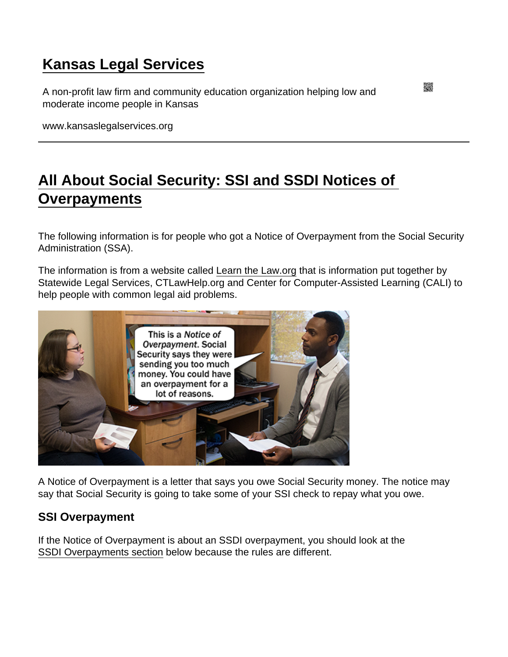## [Kansas Legal Services](https://www.kansaslegalservices.org/)

A non-profit law firm and community education organization helping low and moderate income people in Kansas

www.kansaslegalservices.org

# [All About Social Security: SSI and SSDI Notices of](https://www.kansaslegalservices.org/node/2058/all-about-social-security-ssi-and-ssdi-notices-overpayments)  **[Overpayments](https://www.kansaslegalservices.org/node/2058/all-about-social-security-ssi-and-ssdi-notices-overpayments)**

The following information is for people who got a Notice of Overpayment from the Social Security Administration (SSA).

The information is from a website called [Learn the Law.org](https://www.learnthelaw.org/classroom/2167) that is information put together by Statewide Legal Services, CTLawHelp.org and Center for Computer-Assisted Learning (CALI) to help people with common legal aid problems.

A Notice of Overpayment is a letter that says you owe Social Security money. The notice may say that Social Security is going to take some of your SSI check to repay what you owe.

### SSI Overpayment

If the Notice of Overpayment is about an SSDI overpayment, you should look at the [SSDI Overpayments section](http://www.kansaslegalservices.org/node/2058/all-about-social-security-ssi-and-ssdi-notices-overpayments#simple-toc-3) below because the rules are different.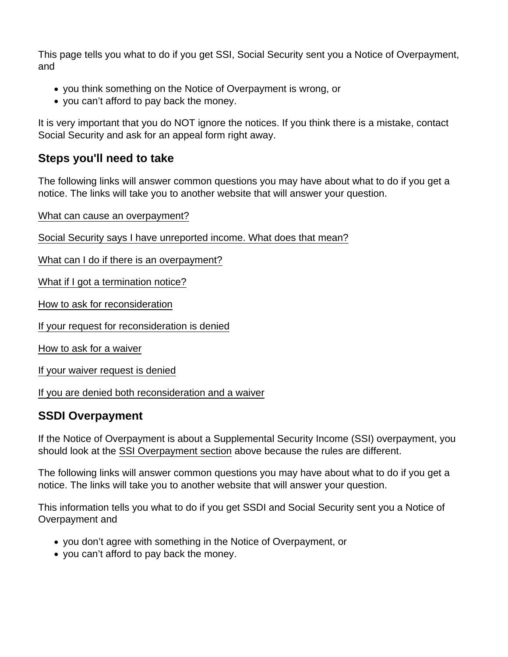This page tells you what to do if you get SSI, Social Security sent you a Notice of Overpayment, and

- you think something on the Notice of Overpayment is wrong, or
- you can't afford to pay back the money.

It is very important that you do NOT ignore the notices. If you think there is a mistake, contact Social Security and ask for an appeal form right away.

### Steps you'll need to take

The following links will answer common questions you may have about what to do if you get a notice. The links will take you to another website that will answer your question.

[What can cause an overpayment?](https://www.learnthelaw.org/classroom/2167/144)

[Social Security says I have unreported income. What does that mean?](https://www.learnthelaw.org/classroom/2167/151)

[What can I do if there is an overpayment?](https://www.learnthelaw.org/classroom/2167/145)

[What if I got a termination notice?](https://www.learnthelaw.org/classroom/2167/152)

[How to ask for reconsideration](https://www.learnthelaw.org/classroom/2167/146)

[If your request for reconsideration is denied](https://www.learnthelaw.org/classroom/2167/147)

[How to ask for a waiver](https://www.learnthelaw.org/classroom/2167/148)

[If your waiver request is denied](https://www.learnthelaw.org/classroom/2167/149)

[If you are denied both reconsideration and a waiver](https://www.learnthelaw.org/classroom/2167/150)

#### SSDI Overpayment

If the Notice of Overpayment is about a Supplemental Security Income (SSI) overpayment, you should look at the [SSI Overpayment section](http://www.kansaslegalservices.org/node/2058/all-about-social-security-ssi-and-ssdi-notices-overpayments#simple-toc-1) above because the rules are different.

The following links will answer common questions you may have about what to do if you get a notice. The links will take you to another website that will answer your question.

This information tells you what to do if you get SSDI and Social Security sent you a Notice of Overpayment and

- you don't agree with something in the Notice of Overpayment, or
- you can't afford to pay back the money.